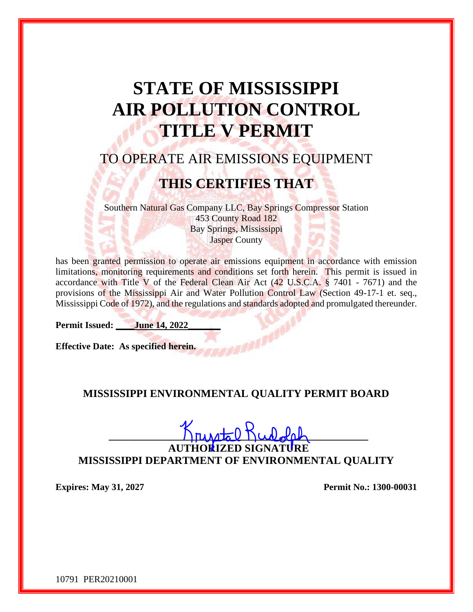# **STATE OF MISSISSIPPI AIR POLLUTION CONTROL TITLE V PERMIT**

## TO OPERATE AIR EMISSIONS EQUIPMENT

## **THIS CERTIFIES THAT**

Southern Natural Gas Company LLC, Bay Springs Compressor Station 453 County Road 182 Bay Springs, Mississippi Jasper County

has been granted permission to operate air emissions equipment in accordance with emission limitations, monitoring requirements and conditions set forth herein. This permit is issued in accordance with Title V of the Federal Clean Air Act (42 U.S.C.A. § 7401 - 7671) and the provisions of the Mississippi Air and Water Pollution Control Law (Section 49-17-1 et. seq., Mississippi Code of 1972), and the regulations and standards adopted and promulgated thereunder.

**Permit Issued: June 14, 2022** 

**Effective Date: As specified herein.** 

#### **MISSISSIPPI ENVIRONMENTAL QUALITY PERMIT BOARD**

**\_\_\_\_\_\_\_\_\_\_\_\_\_\_\_\_\_\_\_\_\_\_\_\_\_\_\_\_\_\_\_\_\_\_\_\_\_\_\_\_\_\_\_\_\_\_\_\_**

**AUTHORIZED SIGNATURE MISSISSIPPI DEPARTMENT OF ENVIRONMENTAL QUALITY**

**Expires: May 31, 2027 Permit No.: 1300-00031**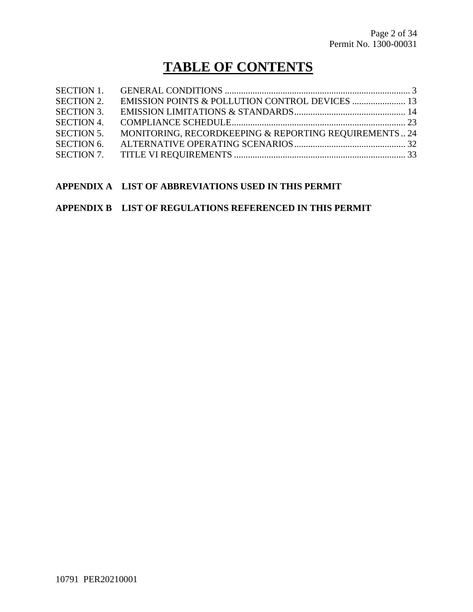## **TABLE OF CONTENTS**

| <b>SECTION 2.</b> |                                                       |  |
|-------------------|-------------------------------------------------------|--|
| <b>SECTION 3.</b> |                                                       |  |
| <b>SECTION 4.</b> |                                                       |  |
| <b>SECTION 5.</b> | MONITORING, RECORDKEEPING & REPORTING REQUIREMENTS 24 |  |
| <b>SECTION 6.</b> |                                                       |  |
|                   |                                                       |  |

#### **APPENDIX A LIST OF ABBREVIATIONS USED IN THIS PERMIT**

#### **APPENDIX B LIST OF REGULATIONS REFERENCED IN THIS PERMIT**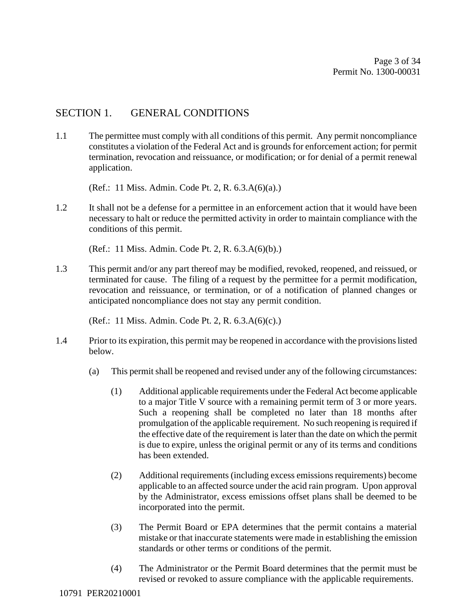#### SECTION 1. GENERAL CONDITIONS

1.1 The permittee must comply with all conditions of this permit. Any permit noncompliance constitutes a violation of the Federal Act and is grounds for enforcement action; for permit termination, revocation and reissuance, or modification; or for denial of a permit renewal application.

(Ref.: 11 Miss. Admin. Code Pt. 2, R. 6.3.A(6)(a).)

1.2 It shall not be a defense for a permittee in an enforcement action that it would have been necessary to halt or reduce the permitted activity in order to maintain compliance with the conditions of this permit.

(Ref.: 11 Miss. Admin. Code Pt. 2, R. 6.3.A(6)(b).)

1.3 This permit and/or any part thereof may be modified, revoked, reopened, and reissued, or terminated for cause. The filing of a request by the permittee for a permit modification, revocation and reissuance, or termination, or of a notification of planned changes or anticipated noncompliance does not stay any permit condition.

(Ref.: 11 Miss. Admin. Code Pt. 2, R. 6.3.A(6)(c).)

- 1.4 Prior to its expiration, this permit may be reopened in accordance with the provisions listed below.
	- (a) This permit shall be reopened and revised under any of the following circumstances:
		- (1) Additional applicable requirements under the Federal Act become applicable to a major Title V source with a remaining permit term of 3 or more years. Such a reopening shall be completed no later than 18 months after promulgation of the applicable requirement. No such reopening is required if the effective date of the requirement is later than the date on which the permit is due to expire, unless the original permit or any of its terms and conditions has been extended.
		- (2) Additional requirements (including excess emissions requirements) become applicable to an affected source under the acid rain program. Upon approval by the Administrator, excess emissions offset plans shall be deemed to be incorporated into the permit.
		- (3) The Permit Board or EPA determines that the permit contains a material mistake or that inaccurate statements were made in establishing the emission standards or other terms or conditions of the permit.
		- (4) The Administrator or the Permit Board determines that the permit must be revised or revoked to assure compliance with the applicable requirements.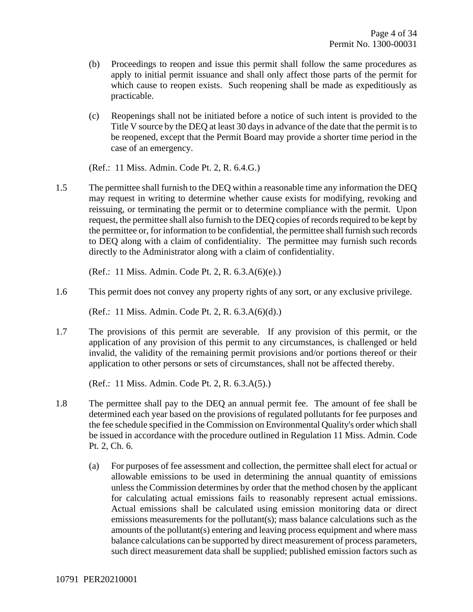- (b) Proceedings to reopen and issue this permit shall follow the same procedures as apply to initial permit issuance and shall only affect those parts of the permit for which cause to reopen exists. Such reopening shall be made as expeditiously as practicable.
- (c) Reopenings shall not be initiated before a notice of such intent is provided to the Title V source by the DEQ at least 30 days in advance of the date that the permit is to be reopened, except that the Permit Board may provide a shorter time period in the case of an emergency.

(Ref.: 11 Miss. Admin. Code Pt. 2, R. 6.4.G.)

1.5 The permittee shall furnish to the DEQ within a reasonable time any information the DEQ may request in writing to determine whether cause exists for modifying, revoking and reissuing, or terminating the permit or to determine compliance with the permit. Upon request, the permittee shall also furnish to the DEQ copies of records required to be kept by the permittee or, for information to be confidential, the permittee shall furnish such records to DEQ along with a claim of confidentiality. The permittee may furnish such records directly to the Administrator along with a claim of confidentiality.

(Ref.: 11 Miss. Admin. Code Pt. 2, R. 6.3.A(6)(e).)

1.6 This permit does not convey any property rights of any sort, or any exclusive privilege.

(Ref.: 11 Miss. Admin. Code Pt. 2, R. 6.3.A(6)(d).)

1.7 The provisions of this permit are severable. If any provision of this permit, or the application of any provision of this permit to any circumstances, is challenged or held invalid, the validity of the remaining permit provisions and/or portions thereof or their application to other persons or sets of circumstances, shall not be affected thereby.

(Ref.: 11 Miss. Admin. Code Pt. 2, R. 6.3.A(5).)

- 1.8 The permittee shall pay to the DEQ an annual permit fee. The amount of fee shall be determined each year based on the provisions of regulated pollutants for fee purposes and the fee schedule specified in the Commission on Environmental Quality's order which shall be issued in accordance with the procedure outlined in Regulation 11 Miss. Admin. Code Pt. 2, Ch. 6.
	- (a) For purposes of fee assessment and collection, the permittee shall elect for actual or allowable emissions to be used in determining the annual quantity of emissions unless the Commission determines by order that the method chosen by the applicant for calculating actual emissions fails to reasonably represent actual emissions. Actual emissions shall be calculated using emission monitoring data or direct emissions measurements for the pollutant(s); mass balance calculations such as the amounts of the pollutant(s) entering and leaving process equipment and where mass balance calculations can be supported by direct measurement of process parameters, such direct measurement data shall be supplied; published emission factors such as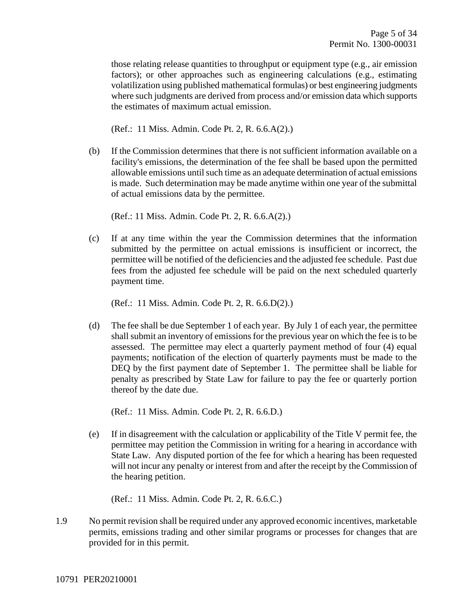those relating release quantities to throughput or equipment type (e.g., air emission factors); or other approaches such as engineering calculations (e.g., estimating volatilization using published mathematical formulas) or best engineering judgments where such judgments are derived from process and/or emission data which supports the estimates of maximum actual emission.

(Ref.: 11 Miss. Admin. Code Pt. 2, R. 6.6.A(2).)

(b) If the Commission determines that there is not sufficient information available on a facility's emissions, the determination of the fee shall be based upon the permitted allowable emissions until such time as an adequate determination of actual emissions is made. Such determination may be made anytime within one year of the submittal of actual emissions data by the permittee.

(Ref.: 11 Miss. Admin. Code Pt. 2, R. 6.6.A(2).)

(c) If at any time within the year the Commission determines that the information submitted by the permittee on actual emissions is insufficient or incorrect, the permittee will be notified of the deficiencies and the adjusted fee schedule. Past due fees from the adjusted fee schedule will be paid on the next scheduled quarterly payment time.

(Ref.: 11 Miss. Admin. Code Pt. 2, R. 6.6.D(2).)

(d) The fee shall be due September 1 of each year. By July 1 of each year, the permittee shall submit an inventory of emissions for the previous year on which the fee is to be assessed. The permittee may elect a quarterly payment method of four (4) equal payments; notification of the election of quarterly payments must be made to the DEQ by the first payment date of September 1. The permittee shall be liable for penalty as prescribed by State Law for failure to pay the fee or quarterly portion thereof by the date due.

(Ref.: 11 Miss. Admin. Code Pt. 2, R. 6.6.D.)

(e) If in disagreement with the calculation or applicability of the Title V permit fee, the permittee may petition the Commission in writing for a hearing in accordance with State Law. Any disputed portion of the fee for which a hearing has been requested will not incur any penalty or interest from and after the receipt by the Commission of the hearing petition.

(Ref.: 11 Miss. Admin. Code Pt. 2, R. 6.6.C.)

1.9 No permit revision shall be required under any approved economic incentives, marketable permits, emissions trading and other similar programs or processes for changes that are provided for in this permit.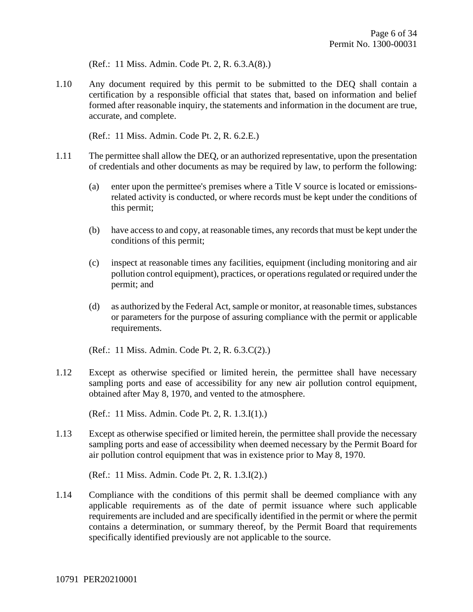(Ref.: 11 Miss. Admin. Code Pt. 2, R. 6.3.A(8).)

1.10 Any document required by this permit to be submitted to the DEQ shall contain a certification by a responsible official that states that, based on information and belief formed after reasonable inquiry, the statements and information in the document are true, accurate, and complete.

(Ref.: 11 Miss. Admin. Code Pt. 2, R. 6.2.E.)

- 1.11 The permittee shall allow the DEQ, or an authorized representative, upon the presentation of credentials and other documents as may be required by law, to perform the following:
	- (a) enter upon the permittee's premises where a Title V source is located or emissionsrelated activity is conducted, or where records must be kept under the conditions of this permit;
	- (b) have access to and copy, at reasonable times, any records that must be kept under the conditions of this permit;
	- (c) inspect at reasonable times any facilities, equipment (including monitoring and air pollution control equipment), practices, or operations regulated or required under the permit; and
	- (d) as authorized by the Federal Act, sample or monitor, at reasonable times, substances or parameters for the purpose of assuring compliance with the permit or applicable requirements.

(Ref.: 11 Miss. Admin. Code Pt. 2, R. 6.3.C(2).)

1.12 Except as otherwise specified or limited herein, the permittee shall have necessary sampling ports and ease of accessibility for any new air pollution control equipment, obtained after May 8, 1970, and vented to the atmosphere.

(Ref.: 11 Miss. Admin. Code Pt. 2, R. 1.3.I(1).)

1.13 Except as otherwise specified or limited herein, the permittee shall provide the necessary sampling ports and ease of accessibility when deemed necessary by the Permit Board for air pollution control equipment that was in existence prior to May 8, 1970.

(Ref.: 11 Miss. Admin. Code Pt. 2, R. 1.3.I(2).)

1.14 Compliance with the conditions of this permit shall be deemed compliance with any applicable requirements as of the date of permit issuance where such applicable requirements are included and are specifically identified in the permit or where the permit contains a determination, or summary thereof, by the Permit Board that requirements specifically identified previously are not applicable to the source.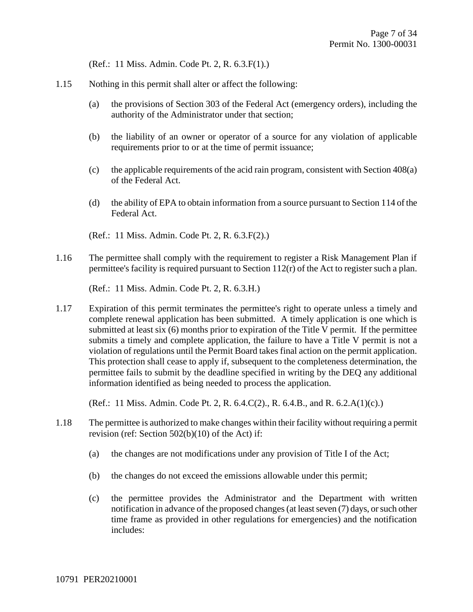(Ref.: 11 Miss. Admin. Code Pt. 2, R. 6.3.F(1).)

- 1.15 Nothing in this permit shall alter or affect the following:
	- (a) the provisions of Section 303 of the Federal Act (emergency orders), including the authority of the Administrator under that section;
	- (b) the liability of an owner or operator of a source for any violation of applicable requirements prior to or at the time of permit issuance;
	- (c) the applicable requirements of the acid rain program, consistent with Section 408(a) of the Federal Act.
	- (d) the ability of EPA to obtain information from a source pursuant to Section 114 of the Federal Act.
	- (Ref.: 11 Miss. Admin. Code Pt. 2, R. 6.3.F(2).)
- 1.16 The permittee shall comply with the requirement to register a Risk Management Plan if permittee's facility is required pursuant to Section 112(r) of the Act to register such a plan.

(Ref.: 11 Miss. Admin. Code Pt. 2, R. 6.3.H.)

1.17 Expiration of this permit terminates the permittee's right to operate unless a timely and complete renewal application has been submitted. A timely application is one which is submitted at least six (6) months prior to expiration of the Title V permit. If the permittee submits a timely and complete application, the failure to have a Title V permit is not a violation of regulations until the Permit Board takes final action on the permit application. This protection shall cease to apply if, subsequent to the completeness determination, the permittee fails to submit by the deadline specified in writing by the DEQ any additional information identified as being needed to process the application.

(Ref.: 11 Miss. Admin. Code Pt. 2, R. 6.4.C(2)., R. 6.4.B., and R. 6.2.A(1)(c).)

- 1.18 The permittee is authorized to make changes within their facility without requiring a permit revision (ref: Section 502(b)(10) of the Act) if:
	- (a) the changes are not modifications under any provision of Title I of the Act;
	- (b) the changes do not exceed the emissions allowable under this permit;
	- (c) the permittee provides the Administrator and the Department with written notification in advance of the proposed changes (at least seven (7) days, or such other time frame as provided in other regulations for emergencies) and the notification includes: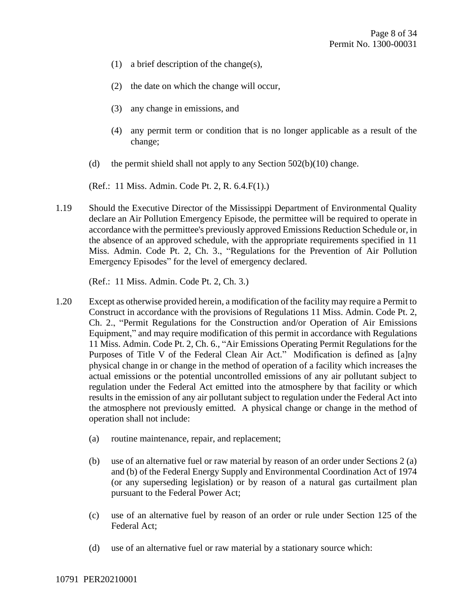- (1) a brief description of the change(s),
- (2) the date on which the change will occur,
- (3) any change in emissions, and
- (4) any permit term or condition that is no longer applicable as a result of the change;
- (d) the permit shield shall not apply to any Section  $502(b)(10)$  change.

(Ref.: 11 Miss. Admin. Code Pt. 2, R. 6.4.F(1).)

1.19 Should the Executive Director of the Mississippi Department of Environmental Quality declare an Air Pollution Emergency Episode, the permittee will be required to operate in accordance with the permittee's previously approved Emissions Reduction Schedule or, in the absence of an approved schedule, with the appropriate requirements specified in 11 Miss. Admin. Code Pt. 2, Ch. 3., "Regulations for the Prevention of Air Pollution Emergency Episodes" for the level of emergency declared.

(Ref.: 11 Miss. Admin. Code Pt. 2, Ch. 3.)

- 1.20 Except as otherwise provided herein, a modification of the facility may require a Permit to Construct in accordance with the provisions of Regulations 11 Miss. Admin. Code Pt. 2, Ch. 2., "Permit Regulations for the Construction and/or Operation of Air Emissions Equipment," and may require modification of this permit in accordance with Regulations 11 Miss. Admin. Code Pt. 2, Ch. 6., "Air Emissions Operating Permit Regulations for the Purposes of Title V of the Federal Clean Air Act." Modification is defined as [a]ny physical change in or change in the method of operation of a facility which increases the actual emissions or the potential uncontrolled emissions of any air pollutant subject to regulation under the Federal Act emitted into the atmosphere by that facility or which results in the emission of any air pollutant subject to regulation under the Federal Act into the atmosphere not previously emitted. A physical change or change in the method of operation shall not include:
	- (a) routine maintenance, repair, and replacement;
	- (b) use of an alternative fuel or raw material by reason of an order under Sections 2 (a) and (b) of the Federal Energy Supply and Environmental Coordination Act of 1974 (or any superseding legislation) or by reason of a natural gas curtailment plan pursuant to the Federal Power Act;
	- (c) use of an alternative fuel by reason of an order or rule under Section 125 of the Federal Act;
	- (d) use of an alternative fuel or raw material by a stationary source which: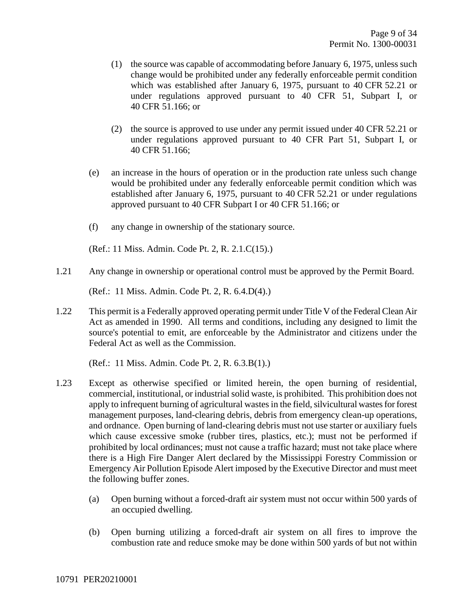- (1) the source was capable of accommodating before January 6, 1975, unless such change would be prohibited under any federally enforceable permit condition which was established after January 6, 1975, pursuant to 40 CFR 52.21 or under regulations approved pursuant to 40 CFR 51, Subpart I, or 40 CFR 51.166; or
- (2) the source is approved to use under any permit issued under 40 CFR 52.21 or under regulations approved pursuant to 40 CFR Part 51, Subpart I, or 40 CFR 51.166;
- (e) an increase in the hours of operation or in the production rate unless such change would be prohibited under any federally enforceable permit condition which was established after January 6, 1975, pursuant to 40 CFR 52.21 or under regulations approved pursuant to 40 CFR Subpart I or 40 CFR 51.166; or
- (f) any change in ownership of the stationary source.

(Ref.: 11 Miss. Admin. Code Pt. 2, R. 2.1.C(15).)

1.21 Any change in ownership or operational control must be approved by the Permit Board.

(Ref.: 11 Miss. Admin. Code Pt. 2, R. 6.4.D(4).)

1.22 This permit is a Federally approved operating permit under Title V of the Federal Clean Air Act as amended in 1990. All terms and conditions, including any designed to limit the source's potential to emit, are enforceable by the Administrator and citizens under the Federal Act as well as the Commission.

(Ref.: 11 Miss. Admin. Code Pt. 2, R. 6.3.B(1).)

- 1.23 Except as otherwise specified or limited herein, the open burning of residential, commercial, institutional, or industrial solid waste, is prohibited. This prohibition does not apply to infrequent burning of agricultural wastes in the field, silvicultural wastes for forest management purposes, land-clearing debris, debris from emergency clean-up operations, and ordnance. Open burning of land-clearing debris must not use starter or auxiliary fuels which cause excessive smoke (rubber tires, plastics, etc.); must not be performed if prohibited by local ordinances; must not cause a traffic hazard; must not take place where there is a High Fire Danger Alert declared by the Mississippi Forestry Commission or Emergency Air Pollution Episode Alert imposed by the Executive Director and must meet the following buffer zones.
	- (a) Open burning without a forced-draft air system must not occur within 500 yards of an occupied dwelling.
	- (b) Open burning utilizing a forced-draft air system on all fires to improve the combustion rate and reduce smoke may be done within 500 yards of but not within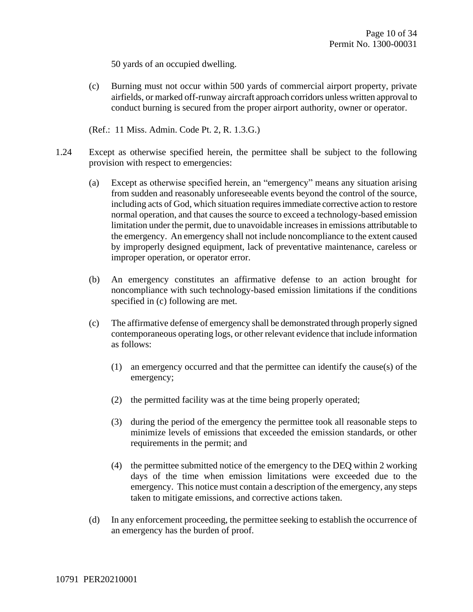50 yards of an occupied dwelling.

(c) Burning must not occur within 500 yards of commercial airport property, private airfields, or marked off-runway aircraft approach corridors unless written approval to conduct burning is secured from the proper airport authority, owner or operator.

(Ref.: 11 Miss. Admin. Code Pt. 2, R. 1.3.G.)

- 1.24 Except as otherwise specified herein, the permittee shall be subject to the following provision with respect to emergencies:
	- (a) Except as otherwise specified herein, an "emergency" means any situation arising from sudden and reasonably unforeseeable events beyond the control of the source, including acts of God, which situation requires immediate corrective action to restore normal operation, and that causes the source to exceed a technology-based emission limitation under the permit, due to unavoidable increases in emissions attributable to the emergency. An emergency shall not include noncompliance to the extent caused by improperly designed equipment, lack of preventative maintenance, careless or improper operation, or operator error.
	- (b) An emergency constitutes an affirmative defense to an action brought for noncompliance with such technology-based emission limitations if the conditions specified in (c) following are met.
	- (c) The affirmative defense of emergency shall be demonstrated through properly signed contemporaneous operating logs, or other relevant evidence that include information as follows:
		- (1) an emergency occurred and that the permittee can identify the cause(s) of the emergency;
		- (2) the permitted facility was at the time being properly operated;
		- (3) during the period of the emergency the permittee took all reasonable steps to minimize levels of emissions that exceeded the emission standards, or other requirements in the permit; and
		- (4) the permittee submitted notice of the emergency to the DEQ within 2 working days of the time when emission limitations were exceeded due to the emergency. This notice must contain a description of the emergency, any steps taken to mitigate emissions, and corrective actions taken.
	- (d) In any enforcement proceeding, the permittee seeking to establish the occurrence of an emergency has the burden of proof.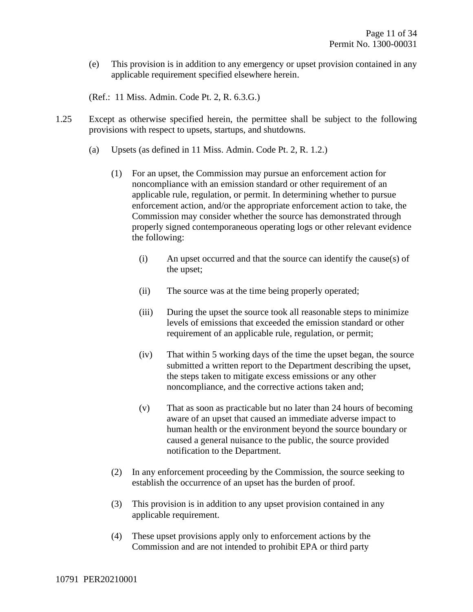(e) This provision is in addition to any emergency or upset provision contained in any applicable requirement specified elsewhere herein.

(Ref.: 11 Miss. Admin. Code Pt. 2, R. 6.3.G.)

- 1.25 Except as otherwise specified herein, the permittee shall be subject to the following provisions with respect to upsets, startups, and shutdowns.
	- (a) Upsets (as defined in 11 Miss. Admin. Code Pt. 2, R. 1.2.)
		- (1) For an upset, the Commission may pursue an enforcement action for noncompliance with an emission standard or other requirement of an applicable rule, regulation, or permit. In determining whether to pursue enforcement action, and/or the appropriate enforcement action to take, the Commission may consider whether the source has demonstrated through properly signed contemporaneous operating logs or other relevant evidence the following:
			- (i) An upset occurred and that the source can identify the cause(s) of the upset;
			- (ii) The source was at the time being properly operated;
			- (iii) During the upset the source took all reasonable steps to minimize levels of emissions that exceeded the emission standard or other requirement of an applicable rule, regulation, or permit;
			- (iv) That within 5 working days of the time the upset began, the source submitted a written report to the Department describing the upset, the steps taken to mitigate excess emissions or any other noncompliance, and the corrective actions taken and;
			- (v) That as soon as practicable but no later than 24 hours of becoming aware of an upset that caused an immediate adverse impact to human health or the environment beyond the source boundary or caused a general nuisance to the public, the source provided notification to the Department.
		- (2) In any enforcement proceeding by the Commission, the source seeking to establish the occurrence of an upset has the burden of proof.
		- (3) This provision is in addition to any upset provision contained in any applicable requirement.
		- (4) These upset provisions apply only to enforcement actions by the Commission and are not intended to prohibit EPA or third party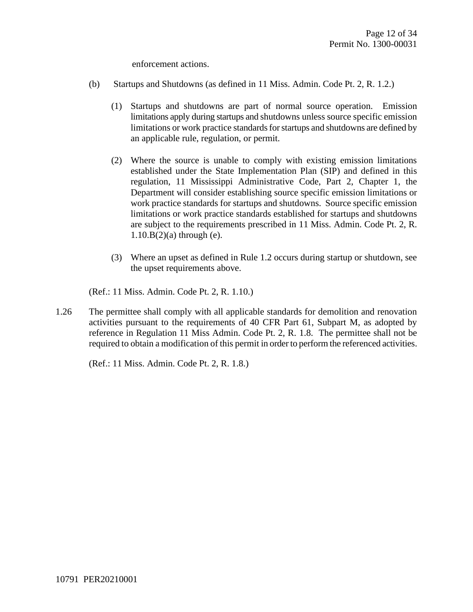enforcement actions.

- (b) Startups and Shutdowns (as defined in 11 Miss. Admin. Code Pt. 2, R. 1.2.)
	- (1) Startups and shutdowns are part of normal source operation. Emission limitations apply during startups and shutdowns unless source specific emission limitations or work practice standards for startups and shutdowns are defined by an applicable rule, regulation, or permit.
	- (2) Where the source is unable to comply with existing emission limitations established under the State Implementation Plan (SIP) and defined in this regulation, 11 Mississippi Administrative Code, Part 2, Chapter 1, the Department will consider establishing source specific emission limitations or work practice standards for startups and shutdowns. Source specific emission limitations or work practice standards established for startups and shutdowns are subject to the requirements prescribed in 11 Miss. Admin. Code Pt. 2, R.  $1.10.B(2)(a)$  through (e).
	- (3) Where an upset as defined in Rule 1.2 occurs during startup or shutdown, see the upset requirements above.

(Ref.: 11 Miss. Admin. Code Pt. 2, R. 1.10.)

1.26 The permittee shall comply with all applicable standards for demolition and renovation activities pursuant to the requirements of 40 CFR Part 61, Subpart M, as adopted by reference in Regulation 11 Miss Admin. Code Pt. 2, R. 1.8. The permittee shall not be required to obtain a modification of this permit in order to perform the referenced activities.

(Ref.: 11 Miss. Admin. Code Pt. 2, R. 1.8.)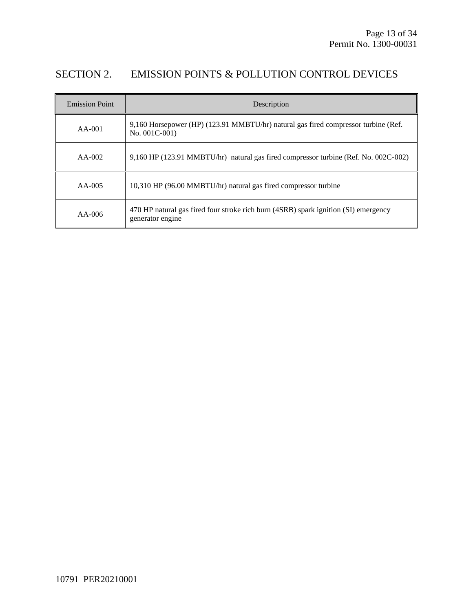### SECTION 2. EMISSION POINTS & POLLUTION CONTROL DEVICES

| <b>Emission Point</b> | Description                                                                                             |
|-----------------------|---------------------------------------------------------------------------------------------------------|
| $AA-001$              | 9,160 Horsepower (HP) (123.91 MMBTU/hr) natural gas fired compressor turbine (Ref.<br>No. 001C-001)     |
| $AA-002$              | 9,160 HP (123.91 MMBTU/hr) natural gas fired compressor turbine (Ref. No. 002C-002)                     |
| $AA-005$              | 10,310 HP (96.00 MMBTU/hr) natural gas fired compressor turbine                                         |
| $AA-006$              | 470 HP natural gas fired four stroke rich burn (4SRB) spark ignition (SI) emergency<br>generator engine |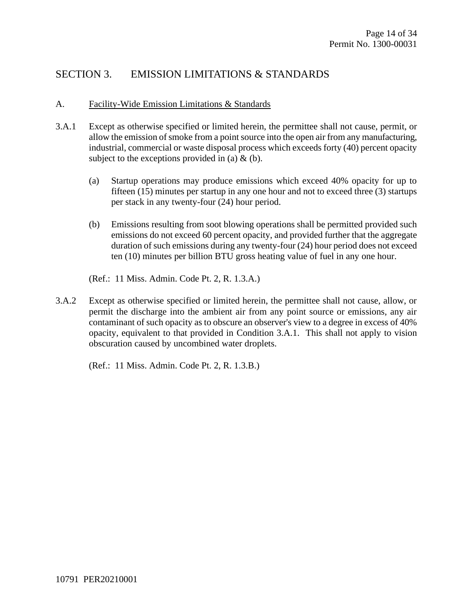### SECTION 3. EMISSION LIMITATIONS & STANDARDS

#### A. Facility-Wide Emission Limitations & Standards

- 3.A.1 Except as otherwise specified or limited herein, the permittee shall not cause, permit, or allow the emission of smoke from a point source into the open air from any manufacturing, industrial, commercial or waste disposal process which exceeds forty (40) percent opacity subject to the exceptions provided in (a)  $\&$  (b).
	- (a) Startup operations may produce emissions which exceed 40% opacity for up to fifteen (15) minutes per startup in any one hour and not to exceed three (3) startups per stack in any twenty-four (24) hour period.
	- (b) Emissions resulting from soot blowing operations shall be permitted provided such emissions do not exceed 60 percent opacity, and provided further that the aggregate duration of such emissions during any twenty-four (24) hour period does not exceed ten (10) minutes per billion BTU gross heating value of fuel in any one hour.
	- (Ref.: 11 Miss. Admin. Code Pt. 2, R. 1.3.A.)
- 3.A.2 Except as otherwise specified or limited herein, the permittee shall not cause, allow, or permit the discharge into the ambient air from any point source or emissions, any air contaminant of such opacity as to obscure an observer's view to a degree in excess of 40% opacity, equivalent to that provided in Condition 3.A.1. This shall not apply to vision obscuration caused by uncombined water droplets.

(Ref.: 11 Miss. Admin. Code Pt. 2, R. 1.3.B.)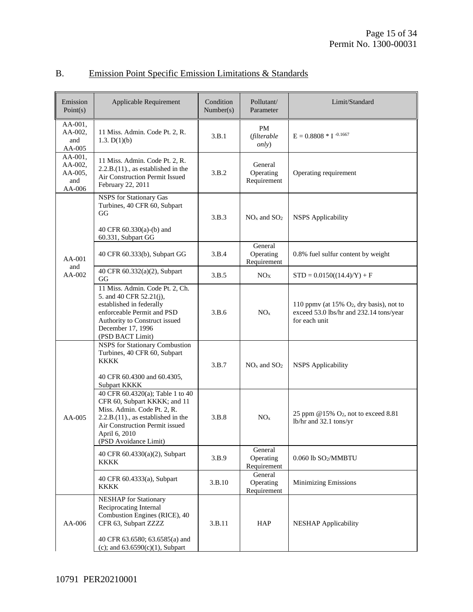| Emission<br>Point $(s)$                        | Applicable Requirement                                                                                                                                                                                               | Condition<br>Number(s) | Pollutant/<br>Parameter             | Limit/Standard                                                                                          |
|------------------------------------------------|----------------------------------------------------------------------------------------------------------------------------------------------------------------------------------------------------------------------|------------------------|-------------------------------------|---------------------------------------------------------------------------------------------------------|
| AA-001,<br>AA-002,<br>and<br>AA-005            | 11 Miss. Admin. Code Pt. 2, R.<br>1.3. $D(1)(b)$                                                                                                                                                                     | 3.B.1                  | PM<br>(filterable<br><i>only</i> )  | $E = 0.8808 * I$ <sup>-0.1667</sup>                                                                     |
| AA-001,<br>AA-002,<br>AA-005,<br>and<br>AA-006 | 11 Miss. Admin. Code Pt. 2, R.<br>$2.2.B.(11)$ ., as established in the<br>Air Construction Permit Issued<br>February 22, 2011                                                                                       | 3.B.2                  | General<br>Operating<br>Requirement | Operating requirement                                                                                   |
|                                                | <b>NSPS</b> for Stationary Gas<br>Turbines, 40 CFR 60, Subpart<br>GG<br>40 CFR 60.330(a)-(b) and<br>60.331, Subpart GG                                                                                               | 3.B.3                  | $NOx$ and $SO2$                     | <b>NSPS</b> Applicability                                                                               |
| AA-001<br>and                                  | 40 CFR 60.333(b), Subpart GG                                                                                                                                                                                         | 3.B.4                  | General<br>Operating<br>Requirement | 0.8% fuel sulfur content by weight                                                                      |
| $AA-002$                                       | 40 CFR 60.332(a)(2), Subpart<br>GG                                                                                                                                                                                   | 3.B.5                  | NO <sub>X</sub>                     | $STD = 0.0150((14.4)/Y) + F$                                                                            |
|                                                | 11 Miss. Admin. Code Pt. 2, Ch.<br>5. and 40 CFR 52.21(j),<br>established in federally<br>enforceable Permit and PSD<br>Authority to Construct issued<br>December 17, 1996<br>(PSD BACT Limit)                       | 3.B.6                  | NO <sub>x</sub>                     | 110 ppmv (at 15% $O_2$ , dry basis), not to<br>exceed 53.0 lbs/hr and 232.14 tons/year<br>for each unit |
|                                                | NSPS for Stationary Combustion<br>Turbines, 40 CFR 60, Subpart<br><b>KKKK</b><br>40 CFR 60.4300 and 60.4305,<br>Subpart KKKK                                                                                         | 3.B.7                  | $NOx$ and $SO2$                     | <b>NSPS</b> Applicability                                                                               |
| AA-005                                         | 40 CFR 60.4320(a); Table 1 to 40<br>CFR 60, Subpart KKKK; and 11<br>Miss. Admin. Code Pt. 2, R.<br>$2.2.B.(11)$ ., as established in the<br>Air Construction Permit issued<br>April 6, 2010<br>(PSD Avoidance Limit) | 3.B.8                  | NO <sub>x</sub>                     | 25 ppm $@15\%$ O <sub>2</sub> , not to exceed 8.81<br>lb/hr and 32.1 tons/yr                            |
|                                                | 40 CFR 60.4330(a)(2), Subpart<br><b>KKKK</b>                                                                                                                                                                         | 3.B.9                  | General<br>Operating<br>Requirement | 0.060 lb SO2/MMBTU                                                                                      |
|                                                | 40 CFR 60.4333(a), Subpart<br>KKKK                                                                                                                                                                                   | 3.B.10                 | General<br>Operating<br>Requirement | <b>Minimizing Emissions</b>                                                                             |
| AA-006                                         | <b>NESHAP</b> for Stationary<br>Reciprocating Internal<br>Combustion Engines (RICE), 40<br>CFR 63, Subpart ZZZZ<br>40 CFR 63.6580; 63.6585(a) and<br>(c); and $63.6590(c)(1)$ , Subpart                              | 3.B.11                 | HAP                                 | <b>NESHAP</b> Applicability                                                                             |

### B. Emission Point Specific Emission Limitations & Standards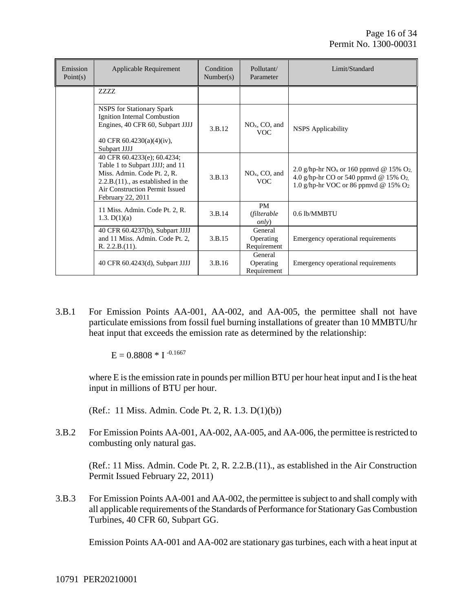| Emission<br>Point $(s)$ | Applicable Requirement                                                                                                                                                                       | Condition<br>Number(s) | Pollutant/<br>Parameter                   | Limit/Standard                                                                                                                                         |
|-------------------------|----------------------------------------------------------------------------------------------------------------------------------------------------------------------------------------------|------------------------|-------------------------------------------|--------------------------------------------------------------------------------------------------------------------------------------------------------|
|                         | <b>ZZZZ</b>                                                                                                                                                                                  |                        |                                           |                                                                                                                                                        |
|                         | <b>NSPS</b> for Stationary Spark<br>Ignition Internal Combustion<br>Engines, 40 CFR 60, Subpart JJJJ<br>40 CFR 60.4230(a)(4)(iv),<br>Subpart JJJJ                                            | 3.B.12                 | $NOx$ , CO, and<br><b>VOC</b>             | <b>NSPS</b> Applicability                                                                                                                              |
|                         | 40 CFR 60.4233(e); 60.4234;<br>Table 1 to Subpart JJJJ; and 11<br>Miss. Admin. Code Pt. 2, R.<br>$2.2.B.(11)$ , as established in the<br>Air Construction Permit Issued<br>February 22, 2011 | 3.B.13                 | NO <sub>x</sub> , CO, and<br>VOC.         | 2.0 g/hp-hr NO <sub>x</sub> or 160 ppmvd @ 15% O <sub>2</sub> ,<br>4.0 g/hp-hr CO or 540 ppmvd @ 15% $O_2$ ,<br>1.0 g/hp-hr VOC or 86 ppmvd @ 15% $O2$ |
|                         | 11 Miss. Admin. Code Pt. 2, R.<br>1.3. $D(1)(a)$                                                                                                                                             | 3.B.14                 | <b>PM</b><br>(filterable<br><i>only</i> ) | $0.6$ lb/MMBTU                                                                                                                                         |
|                         | 40 CFR 60.4237(b), Subpart JJJJ<br>and 11 Miss. Admin. Code Pt. 2,<br>R. 2.2.B.(11).                                                                                                         | 3.B.15                 | General<br>Operating<br>Requirement       | Emergency operational requirements                                                                                                                     |
|                         | 40 CFR 60.4243(d), Subpart JJJJ                                                                                                                                                              | 3.B.16                 | General<br>Operating<br>Requirement       | Emergency operational requirements                                                                                                                     |

3.B.1 For Emission Points AA-001, AA-002, and AA-005, the permittee shall not have particulate emissions from fossil fuel burning installations of greater than 10 MMBTU/hr heat input that exceeds the emission rate as determined by the relationship:

 $E = 0.8808 * I^{-0.1667}$ 

where E is the emission rate in pounds per million BTU per hour heat input and I is the heat input in millions of BTU per hour.

(Ref.: 11 Miss. Admin. Code Pt. 2, R. 1.3. D(1)(b))

3.B.2 For Emission Points AA-001, AA-002, AA-005, and AA-006, the permittee is restricted to combusting only natural gas.

(Ref.: 11 Miss. Admin. Code Pt. 2, R. 2.2.B.(11)., as established in the Air Construction Permit Issued February 22, 2011)

3.B.3 For Emission Points AA-001 and AA-002, the permittee is subject to and shall comply with all applicable requirements of the Standards of Performance for Stationary Gas Combustion Turbines, 40 CFR 60, Subpart GG.

Emission Points AA-001 and AA-002 are stationary gas turbines, each with a heat input at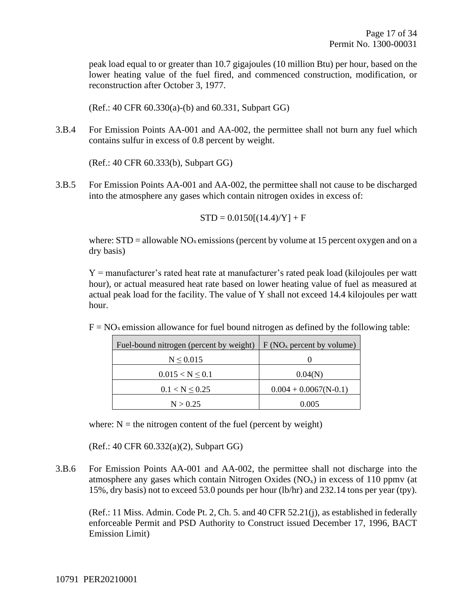peak load equal to or greater than 10.7 gigajoules (10 million Btu) per hour, based on the lower heating value of the fuel fired, and commenced construction, modification, or reconstruction after October 3, 1977.

(Ref.: 40 CFR 60.330(a)-(b) and 60.331, Subpart GG)

3.B.4 For Emission Points AA-001 and AA-002, the permittee shall not burn any fuel which contains sulfur in excess of 0.8 percent by weight.

(Ref.: 40 CFR 60.333(b), Subpart GG)

3.B.5 For Emission Points AA-001 and AA-002, the permittee shall not cause to be discharged into the atmosphere any gases which contain nitrogen oxides in excess of:

$$
STD = 0.0150[(14.4)/Y] + F
$$

where:  $STD =$  allowable  $NO<sub>x</sub>$  emissions (percent by volume at 15 percent oxygen and on a dry basis)

Y = manufacturer's rated heat rate at manufacturer's rated peak load (kilojoules per watt hour), or actual measured heat rate based on lower heating value of fuel as measured at actual peak load for the facility. The value of Y shall not exceed 14.4 kilojoules per watt hour.

 $F = NO<sub>x</sub>$  emission allowance for fuel bound nitrogen as defined by the following table:

| Fuel-bound nitrogen (percent by weight) | F (NO <sub>x</sub> percent by volume) |
|-----------------------------------------|---------------------------------------|
| $N \le 0.015$                           |                                       |
| $0.015 < N \leq 0.1$                    | 0.04(N)                               |
| $0.1 < N \leq 0.25$                     | $0.004 + 0.0067(N-0.1)$               |
| N > 0.25                                | 0.005                                 |

where:  $N =$  the nitrogen content of the fuel (percent by weight)

(Ref.: 40 CFR 60.332(a)(2), Subpart GG)

3.B.6 For Emission Points AA-001 and AA-002, the permittee shall not discharge into the atmosphere any gases which contain Nitrogen Oxides  $(NO_x)$  in excess of 110 ppmv (at 15%, dry basis) not to exceed 53.0 pounds per hour (lb/hr) and 232.14 tons per year (tpy).

(Ref.: 11 Miss. Admin. Code Pt. 2, Ch. 5. and 40 CFR 52.21(j), as established in federally enforceable Permit and PSD Authority to Construct issued December 17, 1996, BACT Emission Limit)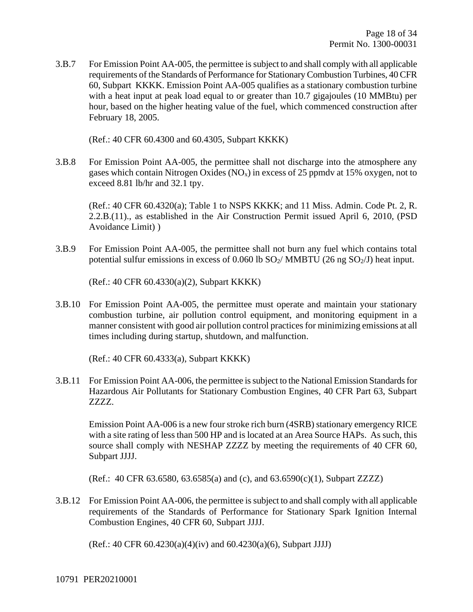3.B.7 For Emission Point AA-005, the permittee is subject to and shall comply with all applicable requirements of the Standards of Performance for Stationary Combustion Turbines, 40 CFR 60, Subpart KKKK. Emission Point AA-005 qualifies as a stationary combustion turbine with a heat input at peak load equal to or greater than 10.7 gigajoules (10 MMBtu) per hour, based on the higher heating value of the fuel, which commenced construction after February 18, 2005.

(Ref.: 40 CFR 60.4300 and 60.4305, Subpart KKKK)

3.B.8 For Emission Point AA-005, the permittee shall not discharge into the atmosphere any gases which contain Nitrogen Oxides  $(NO_x)$  in excess of 25 ppmdv at 15% oxygen, not to exceed 8.81 lb/hr and 32.1 tpy.

(Ref.: 40 CFR 60.4320(a); Table 1 to NSPS KKKK; and 11 Miss. Admin. Code Pt. 2, R. 2.2.B.(11)., as established in the Air Construction Permit issued April 6, 2010, (PSD Avoidance Limit) )

3.B.9 For Emission Point AA-005, the permittee shall not burn any fuel which contains total potential sulfur emissions in excess of 0.060 lb  $SO_2$ / MMBTU (26 ng  $SO_2$ /J) heat input.

(Ref.: 40 CFR 60.4330(a)(2), Subpart KKKK)

3.B.10 For Emission Point AA-005, the permittee must operate and maintain your stationary combustion turbine, air pollution control equipment, and monitoring equipment in a manner consistent with good air pollution control practices for minimizing emissions at all times including during startup, shutdown, and malfunction.

(Ref.: 40 CFR 60.4333(a), Subpart KKKK)

3.B.11 For Emission Point AA-006, the permittee is subject to the National Emission Standards for Hazardous Air Pollutants for Stationary Combustion Engines, 40 CFR Part 63, Subpart ZZZZ.

Emission Point AA-006 is a new four stroke rich burn (4SRB) stationary emergency RICE with a site rating of less than 500 HP and is located at an Area Source HAPs. As such, this source shall comply with NESHAP ZZZZ by meeting the requirements of 40 CFR 60, Subpart JJJJ.

(Ref.: 40 CFR 63.6580, 63.6585(a) and (c), and 63.6590(c)(1), Subpart ZZZZ)

3.B.12 For Emission Point AA-006, the permittee is subject to and shall comply with all applicable requirements of the Standards of Performance for Stationary Spark Ignition Internal Combustion Engines, 40 CFR 60, Subpart JJJJ.

(Ref.: 40 CFR 60.4230(a)(4)(iv) and 60.4230(a)(6), Subpart JJJJ)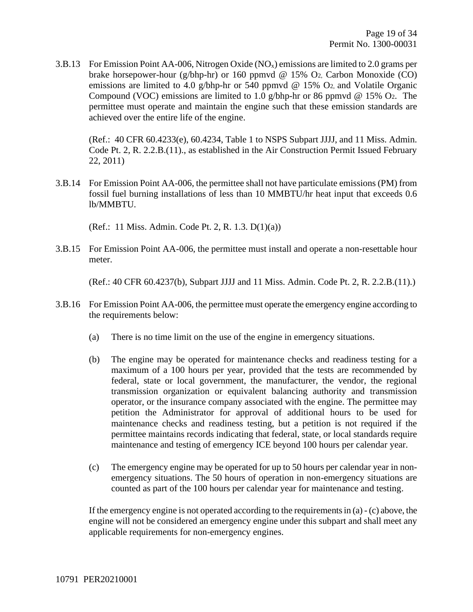3.B.13 For Emission Point AA-006, Nitrogen Oxide ( $NO<sub>x</sub>$ ) emissions are limited to 2.0 grams per brake horsepower-hour (g/bhp-hr) or 160 ppmvd @ 15% O2, Carbon Monoxide (CO) emissions are limited to 4.0 g/bhp-hr or 540 ppmvd  $\omega$  15% O<sub>2</sub>, and Volatile Organic Compound (VOC) emissions are limited to 1.0 g/bhp-hr or 86 ppmvd @ 15% O2. The permittee must operate and maintain the engine such that these emission standards are achieved over the entire life of the engine.

(Ref.: 40 CFR 60.4233(e), 60.4234, Table 1 to NSPS Subpart JJJJ, and 11 Miss. Admin. Code Pt. 2, R. 2.2.B.(11)., as established in the Air Construction Permit Issued February 22, 2011)

3.B.14 For Emission Point AA-006, the permittee shall not have particulate emissions (PM) from fossil fuel burning installations of less than 10 MMBTU/hr heat input that exceeds 0.6 lb/MMBTU.

(Ref.: 11 Miss. Admin. Code Pt. 2, R. 1.3. D(1)(a))

3.B.15 For Emission Point AA-006, the permittee must install and operate a non-resettable hour meter.

(Ref.: 40 CFR 60.4237(b), Subpart JJJJ and 11 Miss. Admin. Code Pt. 2, R. 2.2.B.(11).)

- 3.B.16 For Emission Point AA-006, the permittee must operate the emergency engine according to the requirements below:
	- (a) There is no time limit on the use of the engine in emergency situations.
	- (b) The engine may be operated for maintenance checks and readiness testing for a maximum of a 100 hours per year, provided that the tests are recommended by federal, state or local government, the manufacturer, the vendor, the regional transmission organization or equivalent balancing authority and transmission operator, or the insurance company associated with the engine. The permittee may petition the Administrator for approval of additional hours to be used for maintenance checks and readiness testing, but a petition is not required if the permittee maintains records indicating that federal, state, or local standards require maintenance and testing of emergency ICE beyond 100 hours per calendar year.
	- (c) The emergency engine may be operated for up to 50 hours per calendar year in nonemergency situations. The 50 hours of operation in non-emergency situations are counted as part of the 100 hours per calendar year for maintenance and testing.

If the emergency engine is not operated according to the requirements in (a) - (c) above, the engine will not be considered an emergency engine under this subpart and shall meet any applicable requirements for non-emergency engines.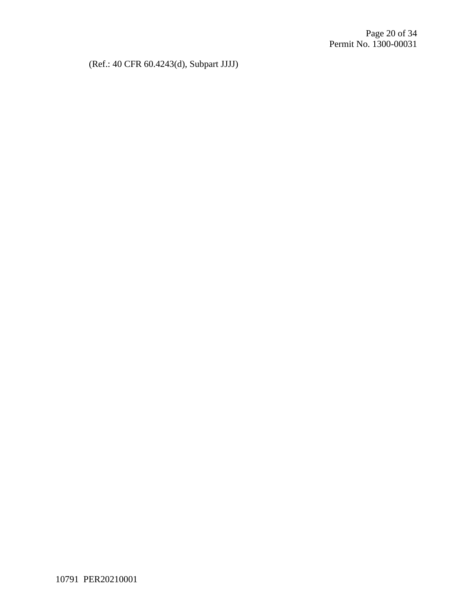(Ref.: 40 CFR 60.4243(d), Subpart JJJJ)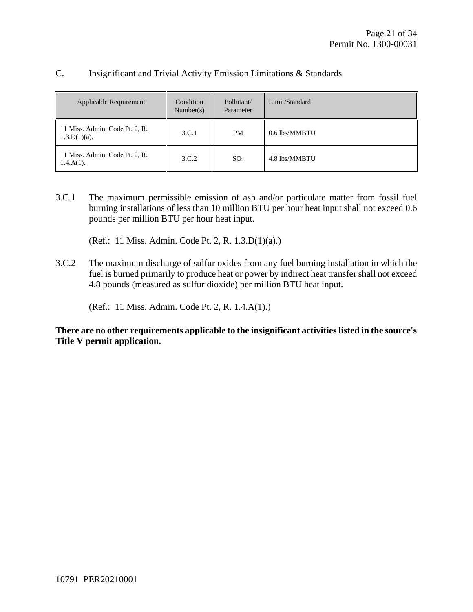| Applicable Requirement                            | Condition<br>Number(s) | Pollutant/<br>Parameter | Limit/Standard |
|---------------------------------------------------|------------------------|-------------------------|----------------|
| 11 Miss. Admin. Code Pt. 2, R.<br>$1.3.D(1)(a)$ . | 3.C.1                  | <b>PM</b>               | 0.6 lbs/MMBTU  |
| 11 Miss. Admin. Code Pt. 2, R.<br>$1.4.A(1)$ .    | 3.C.2                  | SO <sub>2</sub>         | 4.8 lbs/MMBTU  |

#### C. Insignificant and Trivial Activity Emission Limitations & Standards

3.C.1 The maximum permissible emission of ash and/or particulate matter from fossil fuel burning installations of less than 10 million BTU per hour heat input shall not exceed 0.6 pounds per million BTU per hour heat input.

(Ref.: 11 Miss. Admin. Code Pt. 2, R. 1.3.D(1)(a).)

3.C.2 The maximum discharge of sulfur oxides from any fuel burning installation in which the fuel is burned primarily to produce heat or power by indirect heat transfer shall not exceed 4.8 pounds (measured as sulfur dioxide) per million BTU heat input.

(Ref.: 11 Miss. Admin. Code Pt. 2, R. 1.4.A(1).)

**There are no other requirements applicable to the insignificant activities listed in the source's Title V permit application.**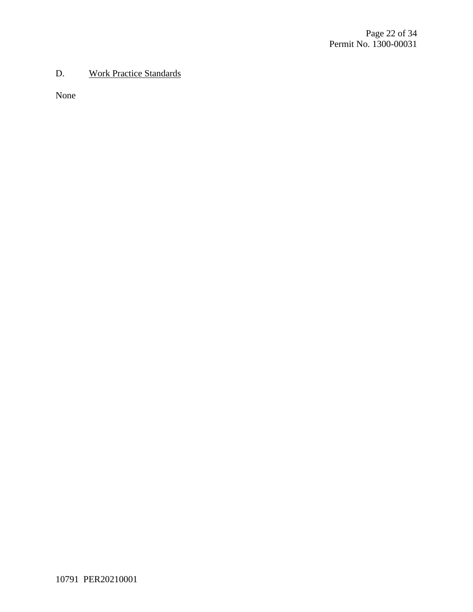#### D. Work Practice Standards

None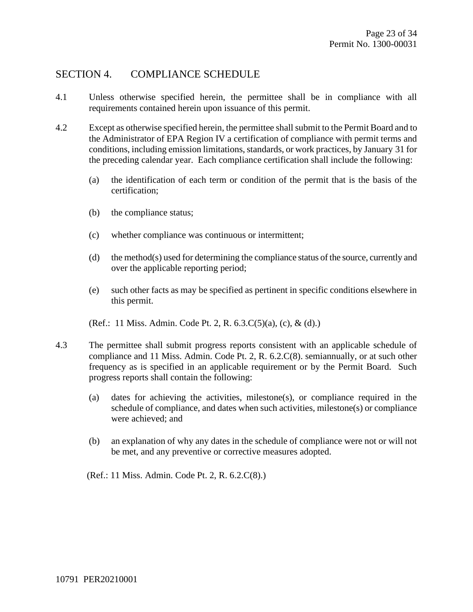#### SECTION 4. COMPLIANCE SCHEDULE

- 4.1 Unless otherwise specified herein, the permittee shall be in compliance with all requirements contained herein upon issuance of this permit.
- 4.2 Except as otherwise specified herein, the permittee shall submit to the Permit Board and to the Administrator of EPA Region IV a certification of compliance with permit terms and conditions, including emission limitations, standards, or work practices, by January 31 for the preceding calendar year. Each compliance certification shall include the following:
	- (a) the identification of each term or condition of the permit that is the basis of the certification;
	- (b) the compliance status;
	- (c) whether compliance was continuous or intermittent;
	- (d) the method(s) used for determining the compliance status of the source, currently and over the applicable reporting period;
	- (e) such other facts as may be specified as pertinent in specific conditions elsewhere in this permit.
	- (Ref.: 11 Miss. Admin. Code Pt. 2, R. 6.3.C(5)(a), (c), & (d).)
- 4.3 The permittee shall submit progress reports consistent with an applicable schedule of compliance and 11 Miss. Admin. Code Pt. 2, R. 6.2.C(8). semiannually, or at such other frequency as is specified in an applicable requirement or by the Permit Board. Such progress reports shall contain the following:
	- (a) dates for achieving the activities, milestone(s), or compliance required in the schedule of compliance, and dates when such activities, milestone(s) or compliance were achieved; and
	- (b) an explanation of why any dates in the schedule of compliance were not or will not be met, and any preventive or corrective measures adopted.

(Ref.: 11 Miss. Admin. Code Pt. 2, R. 6.2.C(8).)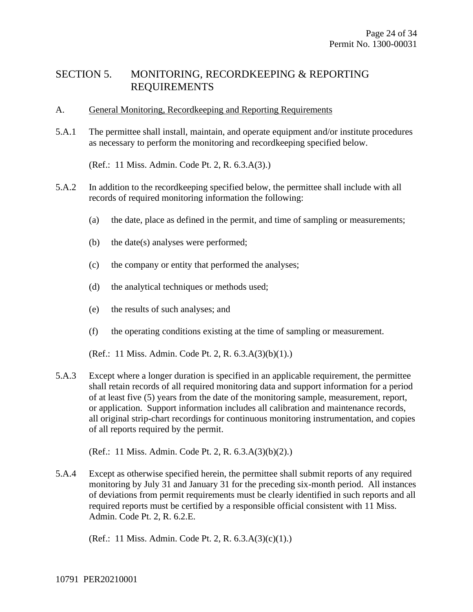#### SECTION 5. MONITORING, RECORDKEEPING & REPORTING REQUIREMENTS

- A. General Monitoring, Recordkeeping and Reporting Requirements
- 5.A.1 The permittee shall install, maintain, and operate equipment and/or institute procedures as necessary to perform the monitoring and recordkeeping specified below.

(Ref.: 11 Miss. Admin. Code Pt. 2, R. 6.3.A(3).)

- 5.A.2 In addition to the recordkeeping specified below, the permittee shall include with all records of required monitoring information the following:
	- (a) the date, place as defined in the permit, and time of sampling or measurements;
	- (b) the date(s) analyses were performed;
	- (c) the company or entity that performed the analyses;
	- (d) the analytical techniques or methods used;
	- (e) the results of such analyses; and
	- (f) the operating conditions existing at the time of sampling or measurement.

(Ref.: 11 Miss. Admin. Code Pt. 2, R. 6.3.A(3)(b)(1).)

5.A.3 Except where a longer duration is specified in an applicable requirement, the permittee shall retain records of all required monitoring data and support information for a period of at least five (5) years from the date of the monitoring sample, measurement, report, or application. Support information includes all calibration and maintenance records, all original strip-chart recordings for continuous monitoring instrumentation, and copies of all reports required by the permit.

(Ref.: 11 Miss. Admin. Code Pt. 2, R. 6.3.A(3)(b)(2).)

5.A.4 Except as otherwise specified herein, the permittee shall submit reports of any required monitoring by July 31 and January 31 for the preceding six-month period. All instances of deviations from permit requirements must be clearly identified in such reports and all required reports must be certified by a responsible official consistent with 11 Miss. Admin. Code Pt. 2, R. 6.2.E.

(Ref.: 11 Miss. Admin. Code Pt. 2, R. 6.3.A(3)(c)(1).)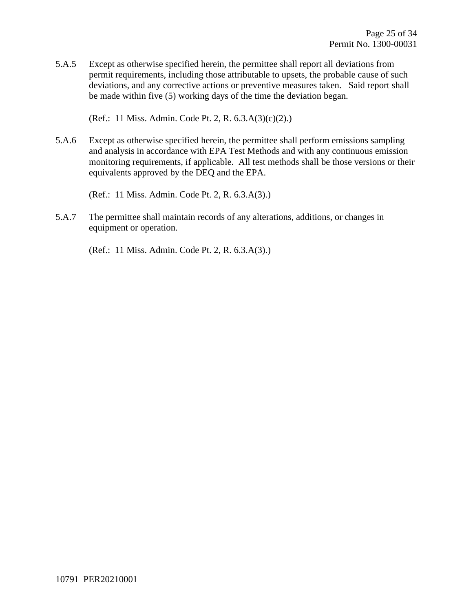5.A.5 Except as otherwise specified herein, the permittee shall report all deviations from permit requirements, including those attributable to upsets, the probable cause of such deviations, and any corrective actions or preventive measures taken. Said report shall be made within five (5) working days of the time the deviation began.

(Ref.: 11 Miss. Admin. Code Pt. 2, R. 6.3.A(3)(c)(2).)

5.A.6 Except as otherwise specified herein, the permittee shall perform emissions sampling and analysis in accordance with EPA Test Methods and with any continuous emission monitoring requirements, if applicable. All test methods shall be those versions or their equivalents approved by the DEQ and the EPA.

(Ref.: 11 Miss. Admin. Code Pt. 2, R. 6.3.A(3).)

5.A.7 The permittee shall maintain records of any alterations, additions, or changes in equipment or operation.

(Ref.: 11 Miss. Admin. Code Pt. 2, R. 6.3.A(3).)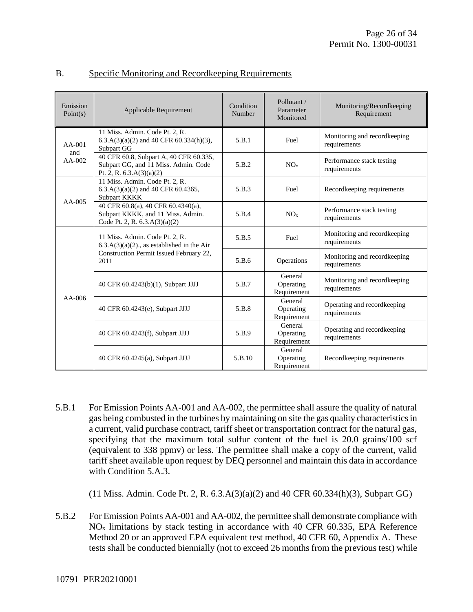| Emission<br>Point(s) | Applicable Requirement                                                                                                             | Condition<br>Number | Pollutant /<br>Parameter<br>Monitored | Monitoring/Recordkeeping<br>Requirement      |
|----------------------|------------------------------------------------------------------------------------------------------------------------------------|---------------------|---------------------------------------|----------------------------------------------|
| $AA-001$<br>and      | 11 Miss. Admin. Code Pt. 2, R.<br>$6.3.A(3)(a)(2)$ and 40 CFR $60.334(h)(3)$ ,<br>Subpart GG                                       | 5.B.1               | Fuel                                  | Monitoring and recordkeeping<br>requirements |
| $AA-002$             | 40 CFR 60.8, Subpart A, 40 CFR 60.335,<br>Subpart GG, and 11 Miss. Admin. Code<br>Pt. 2, R. $6.3.A(3)(a)(2)$                       | 5.B.2               | NO <sub>x</sub>                       | Performance stack testing<br>requirements    |
| $AA-005$             | 11 Miss. Admin. Code Pt. 2, R.<br>$6.3.A(3)(a)(2)$ and 40 CFR 60.4365,<br>Subpart KKKK                                             | 5.B.3               | Fuel                                  | Recordkeeping requirements                   |
|                      | 40 CFR 60.8(a), 40 CFR 60.4340(a),<br>Subpart KKKK, and 11 Miss. Admin.<br>Code Pt. 2, R. $6.3.A(3)(a)(2)$                         | 5.B.4               | NO <sub>x</sub>                       | Performance stack testing<br>requirements    |
| $AA-006$             | 11 Miss. Admin. Code Pt. 2, R.<br>$6.3.A(3)(a)(2)$ ., as established in the Air<br>Construction Permit Issued February 22,<br>2011 | 5.B.5               | Fuel                                  | Monitoring and recordkeeping<br>requirements |
|                      |                                                                                                                                    | 5.B.6               | Operations                            | Monitoring and recordkeeping<br>requirements |
|                      | 40 CFR 60.4243(b)(1), Subpart JJJJ                                                                                                 | 5.B.7               | General<br>Operating<br>Requirement   | Monitoring and recordkeeping<br>requirements |
|                      | 40 CFR 60.4243(e), Subpart JJJJ                                                                                                    | 5.B.8               | General<br>Operating<br>Requirement   | Operating and recordkeeping<br>requirements  |
|                      | 40 CFR 60.4243(f), Subpart JJJJ                                                                                                    | 5.B.9               | General<br>Operating<br>Requirement   | Operating and recordkeeping<br>requirements  |
|                      | 40 CFR 60.4245(a), Subpart JJJJ                                                                                                    | 5.B.10              | General<br>Operating<br>Requirement   | Recordkeeping requirements                   |

#### B. Specific Monitoring and Recordkeeping Requirements

5.B.1 For Emission Points AA-001 and AA-002, the permittee shall assure the quality of natural gas being combusted in the turbines by maintaining on site the gas quality characteristics in a current, valid purchase contract, tariff sheet or transportation contract for the natural gas, specifying that the maximum total sulfur content of the fuel is 20.0 grains/100 scf (equivalent to 338 ppmv) or less. The permittee shall make a copy of the current, valid tariff sheet available upon request by DEQ personnel and maintain this data in accordance with Condition 5.A.3.

(11 Miss. Admin. Code Pt. 2, R. 6.3.A(3)(a)(2) and 40 CFR 60.334(h)(3), Subpart GG)

5.B.2 For Emission Points AA-001 and AA-002, the permittee shall demonstrate compliance with  $NO<sub>x</sub>$  limitations by stack testing in accordance with 40 CFR 60.335, EPA Reference Method 20 or an approved EPA equivalent test method, 40 CFR 60, Appendix A. These tests shall be conducted biennially (not to exceed 26 months from the previous test) while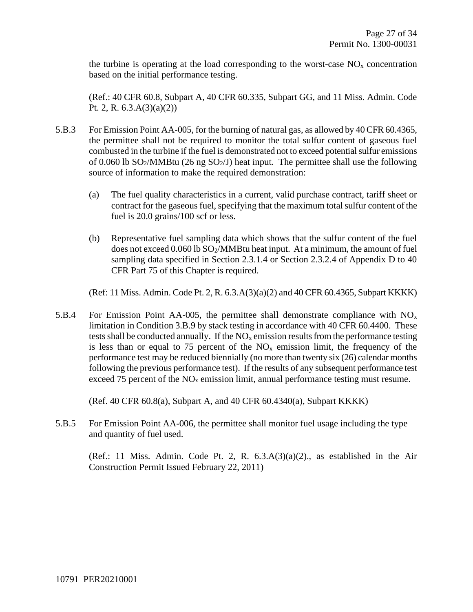the turbine is operating at the load corresponding to the worst-case  $NO<sub>x</sub>$  concentration based on the initial performance testing.

(Ref.: 40 CFR 60.8, Subpart A, 40 CFR 60.335, Subpart GG, and 11 Miss. Admin. Code Pt. 2, R.  $6.3.A(3)(a)(2)$ 

- 5.B.3 For Emission Point AA-005, for the burning of natural gas, as allowed by 40 CFR 60.4365, the permittee shall not be required to monitor the total sulfur content of gaseous fuel combusted in the turbine if the fuel is demonstrated not to exceed potential sulfur emissions of 0.060 lb  $SO_2/MM$ Btu (26 ng  $SO_2/J$ ) heat input. The permittee shall use the following source of information to make the required demonstration:
	- (a) The fuel quality characteristics in a current, valid purchase contract, tariff sheet or contract for the gaseous fuel, specifying that the maximum total sulfur content of the fuel is 20.0 grains/100 scf or less.
	- (b) Representative fuel sampling data which shows that the sulfur content of the fuel does not exceed 0.060 lb SO<sub>2</sub>/MMBtu heat input. At a minimum, the amount of fuel sampling data specified in Section 2.3.1.4 or Section 2.3.2.4 of Appendix D to 40 CFR Part 75 of this Chapter is required.

(Ref: 11 Miss. Admin. Code Pt. 2, R. 6.3.A(3)(a)(2) and 40 CFR 60.4365, Subpart KKKK)

5.B.4 For Emission Point AA-005, the permittee shall demonstrate compliance with  $NO<sub>x</sub>$ limitation in Condition 3.B.9 by stack testing in accordance with 40 CFR 60.4400. These tests shall be conducted annually. If the  $NO<sub>x</sub>$  emission results from the performance testing is less than or equal to 75 percent of the  $NO<sub>x</sub>$  emission limit, the frequency of the performance test may be reduced biennially (no more than twenty six (26) calendar months following the previous performance test). If the results of any subsequent performance test exceed 75 percent of the  $NO<sub>x</sub>$  emission limit, annual performance testing must resume.

(Ref. 40 CFR 60.8(a), Subpart A, and 40 CFR 60.4340(a), Subpart KKKK)

5.B.5 For Emission Point AA-006, the permittee shall monitor fuel usage including the type and quantity of fuel used.

(Ref.: 11 Miss. Admin. Code Pt. 2, R.  $6.3 \text{A}(3)(a)(2)$ ., as established in the Air Construction Permit Issued February 22, 2011)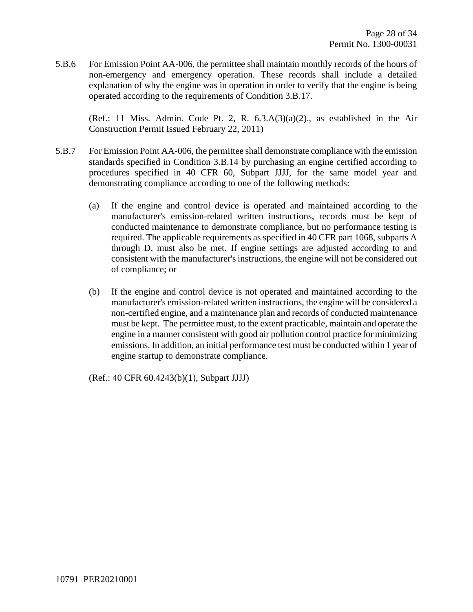5.B.6 For Emission Point AA-006, the permittee shall maintain monthly records of the hours of non-emergency and emergency operation. These records shall include a detailed explanation of why the engine was in operation in order to verify that the engine is being operated according to the requirements of Condition 3.B.17.

(Ref.: 11 Miss. Admin. Code Pt. 2, R.  $6.3 \text{A}(3)(a)(2)$ ., as established in the Air Construction Permit Issued February 22, 2011)

- 5.B.7 For Emission Point AA-006, the permittee shall demonstrate compliance with the emission standards specified in Condition 3.B.14 by purchasing an engine certified according to procedures specified in 40 CFR 60, Subpart JJJJ, for the same model year and demonstrating compliance according to one of the following methods:
	- (a) If the engine and control device is operated and maintained according to the manufacturer's emission-related written instructions, records must be kept of conducted maintenance to demonstrate compliance, but no performance testing is required. The applicable requirements as specified in 40 CFR part 1068, subparts A through D, must also be met. If engine settings are adjusted according to and consistent with the manufacturer's instructions, the engine will not be considered out of compliance; or
	- (b) If the engine and control device is not operated and maintained according to the manufacturer's emission-related written instructions, the engine will be considered a non-certified engine, and a maintenance plan and records of conducted maintenance must be kept. The permittee must, to the extent practicable, maintain and operate the engine in a manner consistent with good air pollution control practice for minimizing emissions. In addition, an initial performance test must be conducted within 1 year of engine startup to demonstrate compliance.

(Ref.: 40 CFR 60.4243(b)(1), Subpart JJJJ)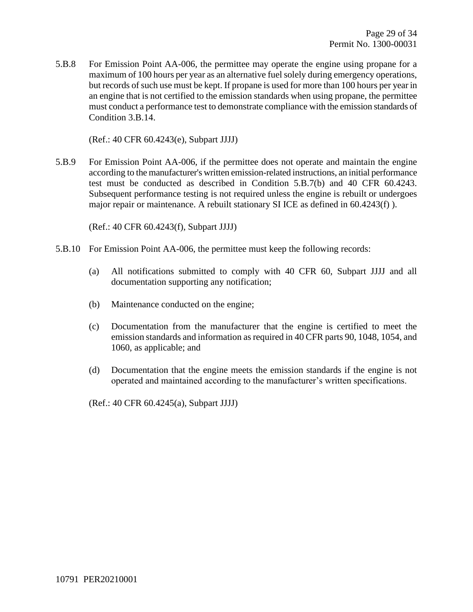5.B.8 For Emission Point AA-006, the permittee may operate the engine using propane for a maximum of 100 hours per year as an alternative fuel solely during emergency operations, but records of such use must be kept. If propane is used for more than 100 hours per year in an engine that is not certified to the emission standards when using propane, the permittee must conduct a performance test to demonstrate compliance with the emission standards of Condition 3.B.14.

(Ref.: 40 CFR 60.4243(e), Subpart JJJJ)

5.B.9 For Emission Point AA-006, if the permittee does not operate and maintain the engine according to the manufacturer's written emission-related instructions, an initial performance test must be conducted as described in Condition 5.B.7(b) and 40 CFR 60.4243. Subsequent performance testing is not required unless the engine is rebuilt or undergoes major repair or maintenance. A rebuilt stationary SI ICE as defined in 60.4243(f) ).

(Ref.: 40 CFR 60.4243(f), Subpart JJJJ)

- 5.B.10 For Emission Point AA-006, the permittee must keep the following records:
	- (a) All notifications submitted to comply with 40 CFR 60, Subpart JJJJ and all documentation supporting any notification;
	- (b) Maintenance conducted on the engine;
	- (c) Documentation from the manufacturer that the engine is certified to meet the emission standards and information as required in 40 CFR parts 90, 1048, 1054, and 1060, as applicable; and
	- (d) Documentation that the engine meets the emission standards if the engine is not operated and maintained according to the manufacturer's written specifications.

(Ref.: 40 CFR 60.4245(a), Subpart JJJJ)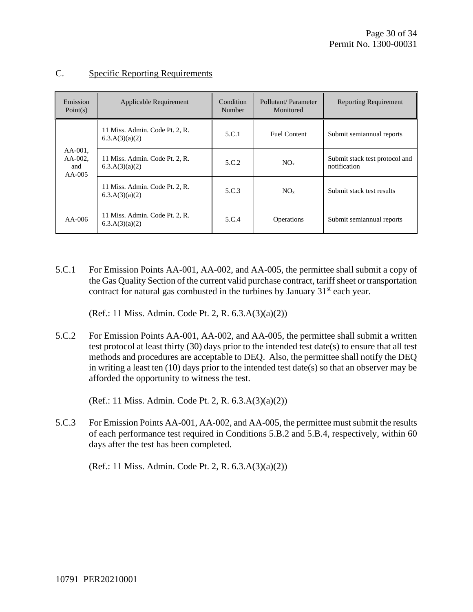| Emission<br>Point(s)                        | Applicable Requirement                           | Condition<br>Number | Pollutant/Parameter<br>Monitored | <b>Reporting Requirement</b>                   |
|---------------------------------------------|--------------------------------------------------|---------------------|----------------------------------|------------------------------------------------|
|                                             | 11 Miss. Admin. Code Pt. 2, R.<br>6.3.A(3)(a)(2) | 5.C.1               | <b>Fuel Content</b>              | Submit semiannual reports                      |
| $AA-001$ ,<br>$AA-002$ ,<br>and<br>$AA-005$ | 11 Miss. Admin. Code Pt. 2, R.<br>6.3.A(3)(a)(2) | 5.C.2               | NO <sub>x</sub>                  | Submit stack test protocol and<br>notification |
|                                             | 11 Miss. Admin. Code Pt. 2, R.<br>6.3.A(3)(a)(2) | 5.C.3               | NO <sub>x</sub>                  | Submit stack test results                      |
| $AA-006$                                    | 11 Miss. Admin. Code Pt. 2, R.<br>6.3.A(3)(a)(2) | 5.C.4               | <b>Operations</b>                | Submit semiannual reports                      |

#### C. Specific Reporting Requirements

5.C.1 For Emission Points AA-001, AA-002, and AA-005, the permittee shall submit a copy of the Gas Quality Section of the current valid purchase contract, tariff sheet or transportation contract for natural gas combusted in the turbines by January  $31<sup>st</sup>$  each year.

(Ref.: 11 Miss. Admin. Code Pt. 2, R. 6.3.A(3)(a)(2))

5.C.2 For Emission Points AA-001, AA-002, and AA-005, the permittee shall submit a written test protocol at least thirty (30) days prior to the intended test date(s) to ensure that all test methods and procedures are acceptable to DEQ. Also, the permittee shall notify the DEQ in writing a least ten (10) days prior to the intended test date(s) so that an observer may be afforded the opportunity to witness the test.

(Ref.: 11 Miss. Admin. Code Pt. 2, R. 6.3.A(3)(a)(2))

5.C.3 For Emission Points AA-001, AA-002, and AA-005, the permittee must submit the results of each performance test required in Conditions 5.B.2 and 5.B.4, respectively, within 60 days after the test has been completed.

(Ref.: 11 Miss. Admin. Code Pt. 2, R. 6.3.A(3)(a)(2))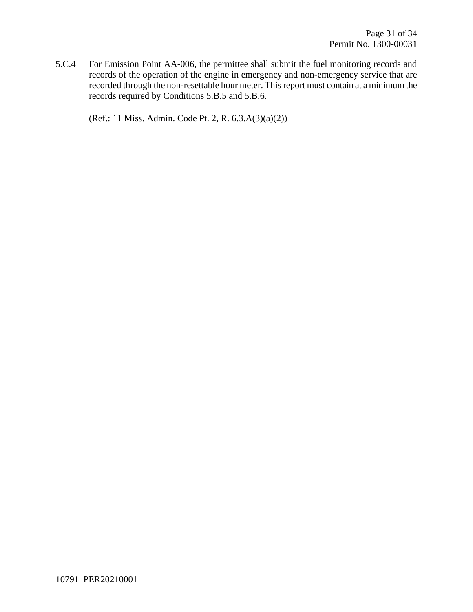5.C.4 For Emission Point AA-006, the permittee shall submit the fuel monitoring records and records of the operation of the engine in emergency and non-emergency service that are recorded through the non-resettable hour meter. This report must contain at a minimum the records required by Conditions 5.B.5 and 5.B.6.

(Ref.: 11 Miss. Admin. Code Pt. 2, R. 6.3.A(3)(a)(2))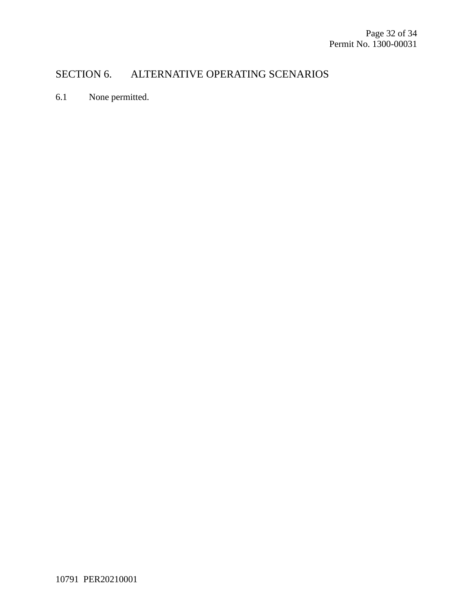### SECTION 6. ALTERNATIVE OPERATING SCENARIOS

6.1 None permitted.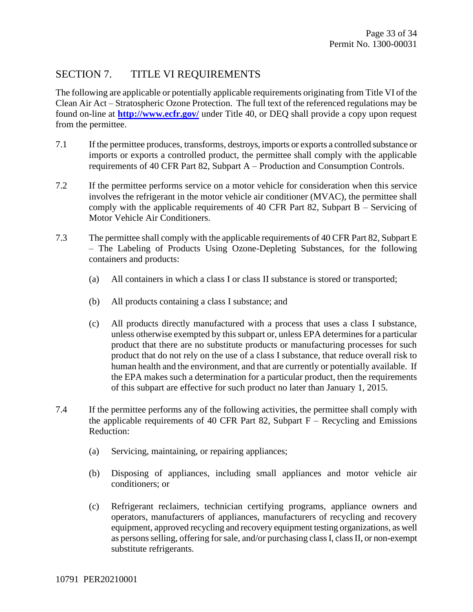#### SECTION 7. TITLE VI REQUIREMENTS

The following are applicable or potentially applicable requirements originating from Title VI of the Clean Air Act – Stratospheric Ozone Protection. The full text of the referenced regulations may be found on-line at **<http://www.ecfr.gov/>** under Title 40, or DEQ shall provide a copy upon request from the permittee.

- 7.1 If the permittee produces, transforms, destroys, imports or exports a controlled substance or imports or exports a controlled product, the permittee shall comply with the applicable requirements of 40 CFR Part 82, Subpart A – Production and Consumption Controls.
- 7.2 If the permittee performs service on a motor vehicle for consideration when this service involves the refrigerant in the motor vehicle air conditioner (MVAC), the permittee shall comply with the applicable requirements of 40 CFR Part 82, Subpart B – Servicing of Motor Vehicle Air Conditioners.
- 7.3 The permittee shall comply with the applicable requirements of 40 CFR Part 82, Subpart E – The Labeling of Products Using Ozone-Depleting Substances, for the following containers and products:
	- (a) All containers in which a class I or class II substance is stored or transported;
	- (b) All products containing a class I substance; and
	- (c) All products directly manufactured with a process that uses a class I substance, unless otherwise exempted by this subpart or, unless EPA determines for a particular product that there are no substitute products or manufacturing processes for such product that do not rely on the use of a class I substance, that reduce overall risk to human health and the environment, and that are currently or potentially available. If the EPA makes such a determination for a particular product, then the requirements of this subpart are effective for such product no later than January 1, 2015.
- 7.4 If the permittee performs any of the following activities, the permittee shall comply with the applicable requirements of 40 CFR Part 82, Subpart  $F -$  Recycling and Emissions Reduction:
	- (a) Servicing, maintaining, or repairing appliances;
	- (b) Disposing of appliances, including small appliances and motor vehicle air conditioners; or
	- (c) Refrigerant reclaimers, technician certifying programs, appliance owners and operators, manufacturers of appliances, manufacturers of recycling and recovery equipment, approved recycling and recovery equipment testing organizations, as well as persons selling, offering for sale, and/or purchasing class I, class II, or non-exempt substitute refrigerants.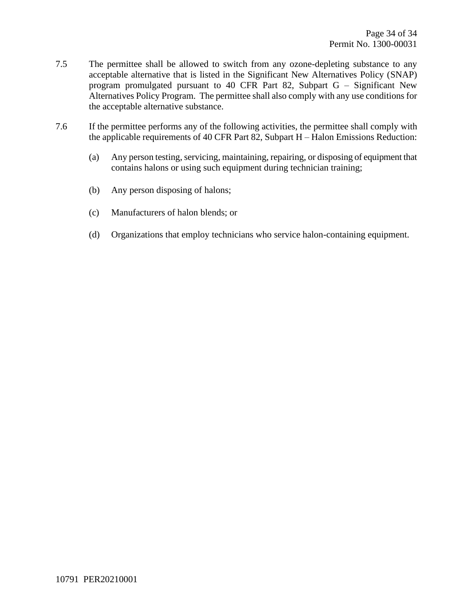- 7.5 The permittee shall be allowed to switch from any ozone-depleting substance to any acceptable alternative that is listed in the Significant New Alternatives Policy (SNAP) program promulgated pursuant to 40 CFR Part 82, Subpart G – Significant New Alternatives Policy Program. The permittee shall also comply with any use conditions for the acceptable alternative substance.
- <span id="page-33-0"></span>7.6 If the permittee performs any of the following activities, the permittee shall comply with the applicable requirements of 40 CFR Part 82, Subpart H – Halon Emissions Reduction:
	- (a) Any person testing, servicing, maintaining, repairing, or disposing of equipment that contains halons or using such equipment during technician training;
	- (b) Any person disposing of halons;
	- (c) Manufacturers of halon blends; or
	- (d) Organizations that employ technicians who service halon-containing equipment.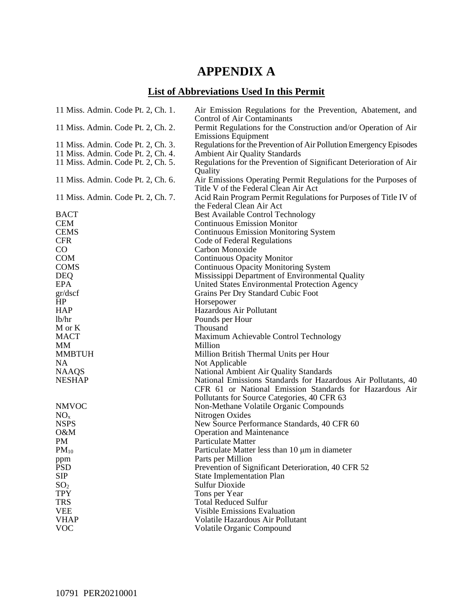## **APPENDIX A**

## **List of Abbreviations Used In this Permit**

| 11 Miss. Admin. Code Pt. 2, Ch. 1. | Air Emission Regulations for the Prevention, Abatement, and<br><b>Control of Air Contaminants</b>      |
|------------------------------------|--------------------------------------------------------------------------------------------------------|
| 11 Miss. Admin. Code Pt. 2, Ch. 2. | Permit Regulations for the Construction and/or Operation of Air<br><b>Emissions Equipment</b>          |
| 11 Miss. Admin. Code Pt. 2, Ch. 3. | Regulations for the Prevention of Air Pollution Emergency Episodes                                     |
| 11 Miss. Admin. Code Pt. 2, Ch. 4. | <b>Ambient Air Quality Standards</b>                                                                   |
| 11 Miss. Admin. Code Pt. 2, Ch. 5. | Regulations for the Prevention of Significant Deterioration of Air<br>Quality                          |
| 11 Miss. Admin. Code Pt. 2, Ch. 6. | Air Emissions Operating Permit Regulations for the Purposes of<br>Title V of the Federal Clean Air Act |
| 11 Miss. Admin. Code Pt. 2, Ch. 7. | Acid Rain Program Permit Regulations for Purposes of Title IV of<br>the Federal Clean Air Act          |
| <b>BACT</b>                        | <b>Best Available Control Technology</b>                                                               |
| <b>CEM</b>                         | <b>Continuous Emission Monitor</b>                                                                     |
| <b>CEMS</b>                        | <b>Continuous Emission Monitoring System</b>                                                           |
| <b>CFR</b>                         | Code of Federal Regulations                                                                            |
| $\rm CO$                           | Carbon Monoxide                                                                                        |
| <b>COM</b>                         | <b>Continuous Opacity Monitor</b>                                                                      |
| <b>COMS</b>                        | <b>Continuous Opacity Monitoring System</b>                                                            |
| <b>DEQ</b>                         | Mississippi Department of Environmental Quality                                                        |
| <b>EPA</b>                         | United States Environmental Protection Agency                                                          |
| gr/dscf                            | Grains Per Dry Standard Cubic Foot                                                                     |
| HP                                 | Horsepower                                                                                             |
| <b>HAP</b>                         | Hazardous Air Pollutant                                                                                |
| lb/hr                              | Pounds per Hour                                                                                        |
| M or K                             | Thousand                                                                                               |
| <b>MACT</b>                        | Maximum Achievable Control Technology                                                                  |
| MM                                 | Million                                                                                                |
| <b>MMBTUH</b>                      | Million British Thermal Units per Hour                                                                 |
| NA                                 | Not Applicable                                                                                         |
| <b>NAAQS</b>                       | National Ambient Air Quality Standards                                                                 |
| <b>NESHAP</b>                      | National Emissions Standards for Hazardous Air Pollutants, 40                                          |
|                                    | CFR 61 or National Emission Standards for Hazardous Air                                                |
|                                    | Pollutants for Source Categories, 40 CFR 63                                                            |
| <b>NMVOC</b>                       | Non-Methane Volatile Organic Compounds                                                                 |
| NO <sub>x</sub>                    | Nitrogen Oxides                                                                                        |
| <b>NSPS</b>                        | New Source Performance Standards, 40 CFR 60                                                            |
| O&M                                | <b>Operation and Maintenance</b>                                                                       |
| PM                                 | <b>Particulate Matter</b>                                                                              |
| $PM_{10}$                          | Particulate Matter less than 10 µm in diameter                                                         |
| ppm                                | Parts per Million                                                                                      |
| <b>PSD</b>                         | Prevention of Significant Deterioration, 40 CFR 52                                                     |
| <b>SIP</b>                         | <b>State Implementation Plan</b>                                                                       |
| SO <sub>2</sub>                    | <b>Sulfur Dioxide</b>                                                                                  |
| <b>TPY</b>                         | Tons per Year                                                                                          |
| <b>TRS</b>                         | <b>Total Reduced Sulfur</b>                                                                            |
| <b>VEE</b>                         | <b>Visible Emissions Evaluation</b>                                                                    |
| <b>VHAP</b>                        | Volatile Hazardous Air Pollutant                                                                       |
| <b>VOC</b>                         | Volatile Organic Compound                                                                              |